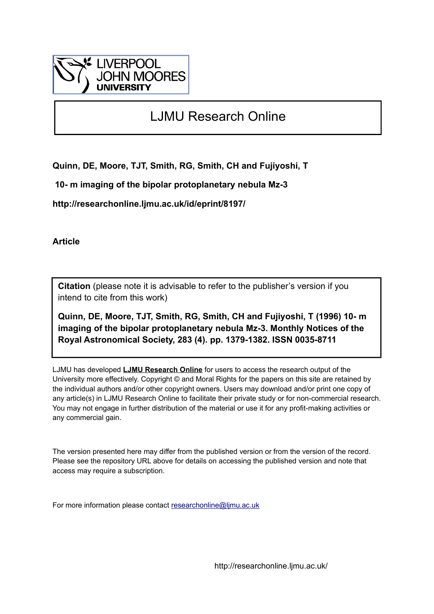

# LJMU Research Online

**Quinn, DE, Moore, TJT, Smith, RG, Smith, CH and Fujiyoshi, T**

 **10- m imaging of the bipolar protoplanetary nebula Mz-3**

**http://researchonline.ljmu.ac.uk/id/eprint/8197/**

**Article**

**Citation** (please note it is advisable to refer to the publisher's version if you intend to cite from this work)

**Quinn, DE, Moore, TJT, Smith, RG, Smith, CH and Fujiyoshi, T (1996) 10- m imaging of the bipolar protoplanetary nebula Mz-3. Monthly Notices of the Royal Astronomical Society, 283 (4). pp. 1379-1382. ISSN 0035-8711** 

LJMU has developed **[LJMU Research Online](http://researchonline.ljmu.ac.uk/)** for users to access the research output of the University more effectively. Copyright © and Moral Rights for the papers on this site are retained by the individual authors and/or other copyright owners. Users may download and/or print one copy of any article(s) in LJMU Research Online to facilitate their private study or for non-commercial research. You may not engage in further distribution of the material or use it for any profit-making activities or any commercial gain.

The version presented here may differ from the published version or from the version of the record. Please see the repository URL above for details on accessing the published version and note that access may require a subscription.

For more information please contact [researchonline@ljmu.ac.uk](mailto:researchonline@ljmu.ac.uk)

http://researchonline.ljmu.ac.uk/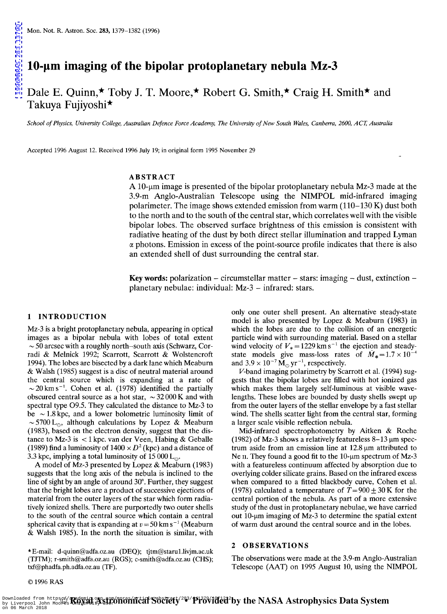# Dale E. Quinn, ★ Toby J. T. Moore, ★ Robert G. Smith, ★ Craig H. Smith ★ and Takuya Fujiyoshi\*

School of Physics, University College, Australian Defence Force Academy, The University of New South Wales, Canberra, 2600, ACT, Australia

Accepted 1996 August 12. Received 1996 July 19; in original form 1995 November 29

#### ABSTRACT

A 10-um image is presented of the bipolar protoplanetary nebula Mz-3 made at the 3.9-m Anglo-Australian Telescope using the NIMPOL mid-infrared imaging polarimeter. The image shows extended emission from warm  $(110-130 \text{ K})$  dust both to the north and to the south of the central star, which correlates well with the visible bipolar lobes. The observed surface brightness of this emission is consistent with radiative heating of the dust by both direct stellar illumination and trapped Lyman  $\alpha$  photons. Emission in excess of the point-source profile indicates that there is also an extended shell of dust surrounding the central star.

Key words: polarization – circumstellar matter – stars: imaging – dust, extinction – planetary nebulae: individual: Mz-3 - infrared: stars.

### 1 INTRODUCTION

Mz-3 is a bright protoplanetary nebula, appearing in optical images as a bipolar nebula with lobes of total extent  $\sim$  50 arcsec with a roughly north-south axis (Schwarz, Corradi & Melnick 1992; Scarrott, Scarrott & Wolstencroft 1994). The lobes are bisected by a dark lane which Meaburn & Walsh (1985) suggest is a disc of neutral material around the central source which is expanding at a rate of  $\sim$  20 km s<sup>-1</sup>. Cohen et al. (1978) identified the partially obscured central source as a hot star,  $\sim$  32 000 K and with spectral type 09.5. They calculated the distance to Mz-3 to be  $\sim$  1.8 kpc, and a lower bolometric luminosity limit of ~5700 L<sub>o</sub>, although calculations by Lopez & Meaburn (1983), based on the electron density, suggest that the distance to Mz-3 is < 1 kpc. van der Veen, Habing & Geballe (1989) find a luminosity of  $1400 \times D^2$  (kpc) and a distance of 3.3 kpc, implying a total luminosity of 15 000 L<sub>o</sub>.

A model of Mz-3 presented by Lopez & Meaburn (1983) suggests that the long axis of the nebula is inclined to the line of sight by an angle of around 30°. Further, they suggest that the bright lobes are a product of successive ejections of material from the outer layers of the star which form radiatively ionized shells. There are purportedly two outer shells to the south of the central source which contain a central spherical cavity that is expanding at  $v = 50 \text{ km s}^{-1}$  (Meaburn & Walsh 1985). In the north the situation is similar, with

only one outer shell present. An alternative steady-state model is also presented by Lopez & Meaburn (1983) in which the lobes are due to the collision of an energetic particle wind with surrounding material. Based on a stellar wind velocity of  $V_* = 1229$  km s<sup>-1</sup> the ejection and steadystate models give mass-loss rates of  $\dot{M}_* = 1.7 \times 10^{-4}$ and  $3.9 \times 10^{-7} \,\text{M}_\odot \,\text{yr}^{-1}$ , respectively.

V-band imaging polarimetry by Scarrott et al. (1994) suggests that the bipolar lobes are filled with hot ionized gas which makes them largely self-luminous at visible wavelengths. These lobes are bounded by dusty shells swept up from the outer layers of the stellar envelope by a fast stellar wind. The shells scatter light from the central star, forming a larger scale visible reflection nebula.

Mid-infrared spectrophotometry by Aitken & Roche (1982) of Mz-3 shows a relatively featureless  $8-13 \mu m$  spectrum aside from an emission line at  $12.8 \mu m$  attributed to Ne  $\text{II}$ . They found a good fit to the 10- $\mu$ m spectrum of Mz-3 with a featureless continuum affected by absorption due to overlying colder silicate grains. Based on the infrared excess when compared to a fitted blackbody curve, Cohen et al. (1978) calculated a temperature of  $T = 900 \pm 30$  K for the central portion of the nebula. As part of a more extensive study of the dust in protoplanetary nebulae, we have carried out 10- $\mu$ m imaging of Mz-3 to determine the spatial extent of warm dust around the central source and in the lobes.

#### 2 OBSERVATIONS

\* E-mail: d-quinn@adfa.oz.au (DEQ); tjtm@staru1.livjm.ac.uk (TJTM); r-smith@adfa.oz.au (RGS); c-smith@adfa.oz.au (CHS); txf@phadfa.ph.adfa.oz.au (TF).

The observations were made at the 3.9-m Anglo-Australian Telescope (AAT) on 1995 August 10, using the NIMPOL

©1996 RAS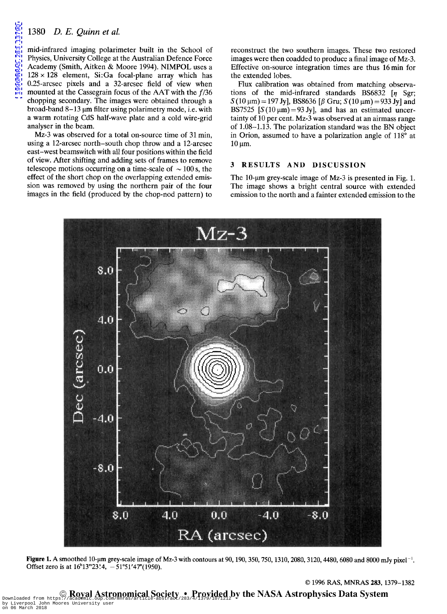## *1380 D. E. Quinn et ai.*

mid-infrared imaging polarimeter built in the School of Physics, University College at the Australian Defence Force Academy (Smith, Aitken & Moore 1994). NIMPOL uses a  $128 \times 128$  element, Si:Ga focal-plane array which has 0.25-arcsec pixels and a 32-arcsec field of view when mounted at the Cassegrain focus of the AAT with the  $f/36$ chopping secondary. The images were obtained through a broad-band  $8-13 \mu m$  filter using polarimetry mode, i.e. with a warm rotating CdS half-wave plate and a cold wire-grid analyser in the beam.

Mz-3 was observed for a total on-source time of 31 min, using a 12-arcsec north-south chop throw and a 12-arcsec east-west beamswitch with all four positions within the field of view. After shifting and adding sets of frames to remove telescope motions occurring on a time-scale of  $\sim$  100 s, the effect of the short chop on the overlapping extended emission was removed by using the northern pair of the four images in the field (produced by the chop-nod pattern) to

reconstruct the two southern images. These two restored images were then coadded to produce a final image of Mz-3. Effective on-source integration times are thus 16 min for the extended lobes.

Flux calibration was obtained from matching observations of the mid-infrared standards BS6832  $\lceil \eta \rceil$  Sgr;  $S(10 \,\mu\text{m}) = 197 \text{ Jy}$ , BS8636 [ $\beta$  Gru;  $S(10 \,\mu\text{m}) = 933 \text{ Jy}$ ] and BS7525 [ $S(10 \mu m) = 93$  Jy], and has an estimated uncertainty of 10 per cent. Mz-3 was observed at an airmass range of 1.08-1.13. The polarization standard was the BN object in Orion, assumed to have a polarization angle of 118° at  $10 \mu m$ .

#### 3 RESULTS AND DISCUSSION

The 10- $\mu$ m grey-scale image of Mz-3 is presented in Fig. 1. The image shows a bright central source with extended emission to the north and a fainter extended emission to the

© 1996 RAS, MNRAS 283, 1379-1382



Figure 1. A smoothed 10-µm grey-scale image of Mz-3 with contours at 90, 190, 350, 750, 1310, 2080, 3120, 4480, 6080 and 8000 mJy pixel<sup>-1</sup>. Offset zero is at  $16^{h}13^{m}23^{s}4$ ,  $-51^{\circ}51'47''(1950)$ .

© Royal Astronomical Society • Provided by the NASA Astrophysics Data System Downloaded from https://academic.oup.com/mnras/article-abstract/283/4/1379/1071212 by Liverpool John Moores University user on 06 March 2018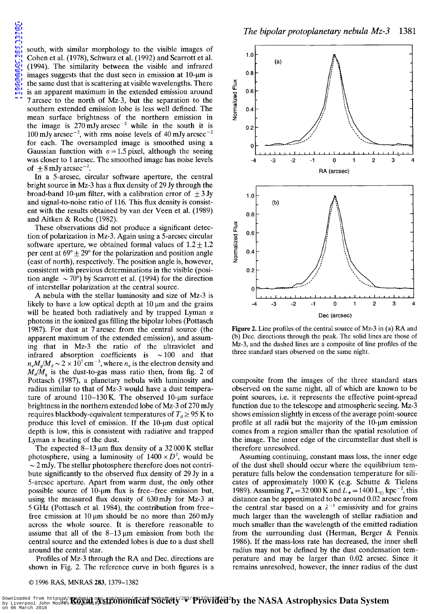south, with similar morphology to the visible images of Cohen et al. (1978), Schwarz et al. (1992) and Scarrott et al. (1994). The similarity between the visible and infrared images suggests that the dust seen in emission at  $10$ - $\mu$ m is the same dust that is scattering at visible wavelengths. There is an apparent maximum in the extended emission around 7 arcsec to the north of Mz-3, but the separation to the southern extended emission lobe is less well defined. The mean surface brightness of the northern emission in the image is  $270 \text{ mJy}$  arcsec<sup>-2</sup> while in the south it is  $100$  mJy arcsec<sup>-2</sup>, with rms noise levels of 40 mJy arcsec<sup>-2</sup> for each. The oversampled image is smoothed using a Gaussian function with  $\sigma = 1.5$  pixel, although the seeing was closer to 1 arcsec. The smoothed image has noise levels of  $\pm 8$  mJy arcsec<sup>-2</sup>.

In a 5-arcsec, circular software aperture, the central bright source in Mz-3 has a flux density of 29 Jy through the broad-band 10-um filter, with a calibration error of  $\pm 3$  Jy and signal-to-noise ratio of 116. This flux density is consistent with the results obtained by van der Veen et al. (1989) and Aitken & Roche (1982).

These observations did not produce a significant detection of polarization in Mz-3. Again using a 5-arcsec circular software aperture, we obtained formal values of  $1.2 \pm 1.2$ per cent at  $69^{\circ} \pm 29^{\circ}$  for the polarization and position angle (east of north), respectively. The position angle is, however, consistent with previous determinations in the visible (position angle  $\sim$  70°) by Scarrott et al. (1994) for the direction of interstellar polarization at the central source.

A nebula with the stellar luminosity and size of Mz-3 is likely to have a low optical depth at  $10 \mu m$  and the grains will be heated both radiatively and by trapped Lyman  $\alpha$ photons in the ionized gas filling the bipolar lobes (Pottasch 1987). For dust at 7 arcsec from the central source (the apparent maximum of the extended emission), and assuming that in Mz-3 the ratio of the ultraviolet and infrared absorption coefficients is  $\sim$  100 and that  $n_e M_g / M_d \sim 2 \times 10^7 \text{ cm}^{-3}$ , where  $n_e$  is the electron density and  $M_d/\dot{M}_s$  is the dust-to-gas mass ratio then, from fig. 2 of Pottasch (1987), a planetary nebula with luminosity and radius similar to that of Mz-3 would have a dust temperature of around  $110-130$  K. The observed  $10$ - $\mu$ m surface brightness in the northern extended lobe of Mz-3 of 270 mJy requires blackbody-equivalent temperatures of  $T_d \geq 95$  K to produce this level of emission. If the  $10$ - $\mu$ m dust optical depth is low, this is consistent with radiative and trapped Lyman  $\alpha$  heating of the dust.

The expected  $8-13 \mu m$  flux density of a 32000 K stellar photosphere, using a luminosity of  $1400 \times D^2$ , would be  $\sim$  2 mJy. The stellar photosphere therefore does not contribute significantly to the observed flux density of 29 Jy in a 5-arcsec aperture. Apart from warm dust, the only other possible source of 10- $\mu$ m flux is free-free emission but, using the measured flux density of 630 mJy for Mz-3 at 5 GHz (Pottasch et al. 1984), the contribution from freefree emission at 10  $\mu$ m should be no more than 260 mJy across the whole source. It is therefore reasonable to assume that all of the  $8-13 \mu m$  emission from both the central source and the extended lobes is due to a dust shell around the central star.

Profiles of Mz-3 through the RA and Dec. directions are shown in Fig. 2. The reference curve in both figures is a



Figure 2. Line profiles of the central source of Mz-3 in (a) RA and (b) Dec. directions through the peak. The solid lines are those of Mz-3, and the dashed lines are a composite of line profiles of the three standard stars observed on the same night.

composite from the images of the three standard stars observed on the same night, all of which are known to be point sources, i.e. it represents the effective point-spread function due to the telescope and atmospheric seeing. Mz-3 shows emission slightly in excess of the average point-source profile at all radii but the majority of the  $10$ - $\mu$ m emission comes from a region smaller than the spatial resolution of the image. The inner edge of the circumstellar dust shell is therefore unresolved.

Assuming continuing, constant mass loss, the inner edge of the dust shell should occur where the equilibrium temperature falls below the condensation temperature for silicates of approximately 1000 K (e.g. Schutte & Tielens 1989). Assuming  $T_* = 32000$  K and  $L_* = 1400$  L<sub>o</sub> kpc<sup>-2</sup>, this distance can be approximated to be around 0.02 arcsec from the central star based on a  $\lambda^{-1}$  emissivity and for grains much larger than the wavelength of stellar radiation and much smaller than the wavelength of the emitted radiation from the surrounding dust (Herman, Berger & Pennix 1986). If the mass-loss rate has decreased, the inner shell radius may not be defined by the dust condensation temperature and may be larger than 0.02 arcsec. Since it remains unresolved, however, the inner radius of the dust